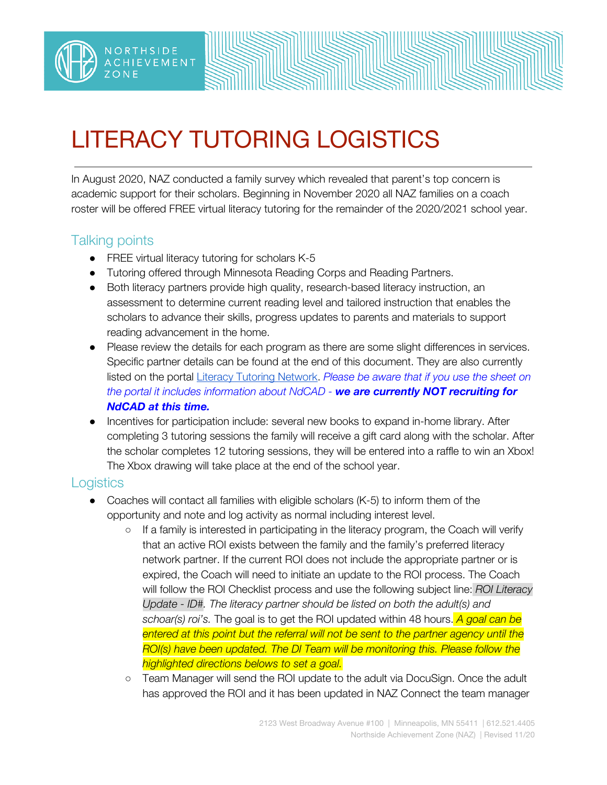# LITERACY TUTORING LOGISTICS

In August 2020, NAZ conducted a family survey which revealed that parent's top concern is academic support for their scholars. Beginning in November 2020 all NAZ families on a coach roster will be offered FREE virtual literacy tutoring for the remainder of the 2020/2021 school year.

### Talking points

NORTHSIDE **ACHIEVEMENT** 

- FREE virtual literacy tutoring for scholars K-5
- Tutoring offered through Minnesota Reading Corps and Reading Partners.
- Both literacy partners provide high quality, research-based literacy instruction, an assessment to determine current reading level and tailored instruction that enables the scholars to advance their skills, progress updates to parents and materials to support reading advancement in the home.
- Please review the details for each program as there are some slight differences in services. Specific partner details can be found at the end of this document. They are also currently listed on the portal Literacy Tutoring [Network](https://northsideachievement.org/naz-partner/wp-content/uploads/Literacy-Tutoring-Network-Overview.pdf). *Please be aware that if you use the sheet on the portal it includes information about NdCAD - we are currently NOT recruiting for NdCAD at this time.*
- Incentives for participation include: several new books to expand in-home library. After completing 3 tutoring sessions the family will receive a gift card along with the scholar. After the scholar completes 12 tutoring sessions, they will be entered into a raffle to win an Xbox! The Xbox drawing will take place at the end of the school year.

#### **Logistics**

- $\bullet$  Coaches will contact all families with eligible scholars (K-5) to inform them of the opportunity and note and log activity as normal including interest level.
	- $\circ$  If a family is interested in participating in the literacy program, the Coach will verify that an active ROI exists between the family and the family's preferred literacy network partner. If the current ROI does not include the appropriate partner or is expired, the Coach will need to initiate an update to the ROI process. The Coach will follow the ROI Checklist process and use the following subject line: *ROI Literacy Update - ID#. The literacy partner should be listed on both the adult(s) and schoar(s) roi's.* The goal is to get the ROI updated within 48 hours. *A goal can be entered at this point but the referral will not be sent to the partner agency until the ROI(s) have been updated. The DI Team will be monitoring this. Please follow the highlighted directions belows to set a goal.*
	- Team Manager will send the ROI update to the adult via DocuSign. Once the adult has approved the ROI and it has been updated in NAZ Connect the team manager